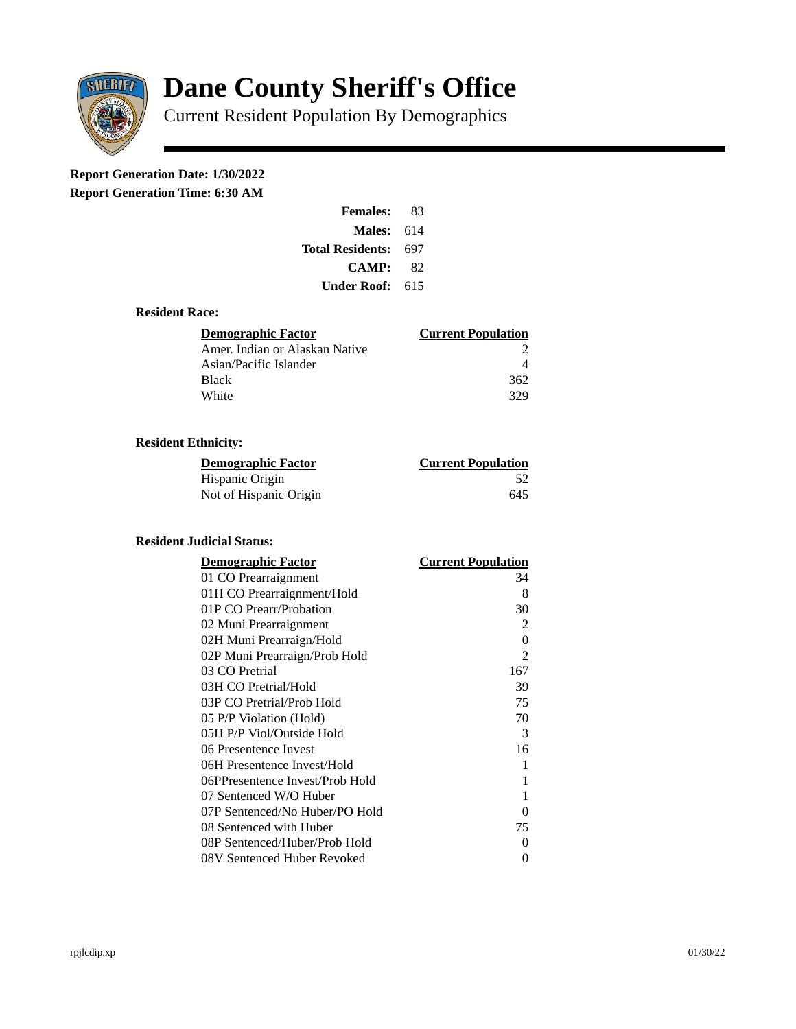

# **Dane County Sheriff's Office**

Current Resident Population By Demographics

# **Report Generation Date: 1/30/2022**

**Report Generation Time: 6:30 AM** 

| <b>Females:</b>         | 83  |  |
|-------------------------|-----|--|
| Males:                  | 614 |  |
| <b>Total Residents:</b> | 697 |  |
| <b>CAMP:</b>            | 82  |  |
| Under Roof:             | 615 |  |

#### **Resident Race:**

| Demographic Factor             | <b>Current Population</b> |
|--------------------------------|---------------------------|
| Amer. Indian or Alaskan Native |                           |
| Asian/Pacific Islander         |                           |
| <b>Black</b>                   | 362                       |
| White                          | 329                       |

## **Resident Ethnicity:**

| <u>Demographic Factor</u> | <b>Current Population</b> |
|---------------------------|---------------------------|
| Hispanic Origin           | 52                        |
| Not of Hispanic Origin    | 645                       |

### **Resident Judicial Status:**

| <b>Demographic Factor</b>       | <b>Current Population</b> |
|---------------------------------|---------------------------|
| 01 CO Prearraignment            | 34                        |
| 01H CO Prearraignment/Hold      | 8                         |
| 01P CO Prearr/Probation         | 30                        |
| 02 Muni Prearraignment          | 2                         |
| 02H Muni Prearraign/Hold        | $\Omega$                  |
| 02P Muni Prearraign/Prob Hold   | $\overline{2}$            |
| 03 CO Pretrial                  | 167                       |
| 03H CO Pretrial/Hold            | 39                        |
| 03P CO Pretrial/Prob Hold       | 75                        |
| 05 P/P Violation (Hold)         | 70                        |
| 05H P/P Viol/Outside Hold       | 3                         |
| 06 Presentence Invest           | 16                        |
| 06H Presentence Invest/Hold     | 1                         |
| 06PPresentence Invest/Prob Hold | 1                         |
| 07 Sentenced W/O Huber          | 1                         |
| 07P Sentenced/No Huber/PO Hold  | 0                         |
| 08 Sentenced with Huber         | 75                        |
| 08P Sentenced/Huber/Prob Hold   | O                         |
| 08V Sentenced Huber Revoked     | 0                         |